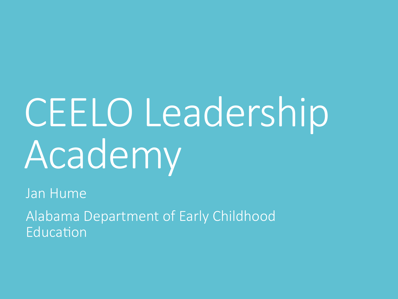# CEELO Leadership Academy

Jan Hume

Alabama Department of Early Childhood Education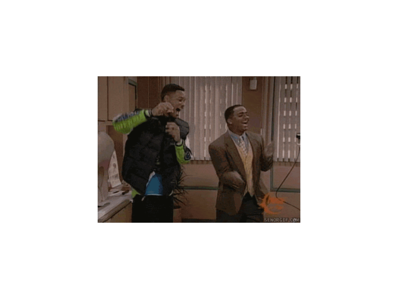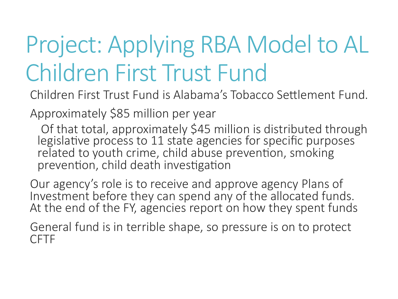## Project: Applying RBA Model to AL Children First Trust Fund

Children First Trust Fund is Alabama's Tobacco Settlement Fund.

Approximately \$85 million per year

Of that total, approximately \$45 million is distributed through legislative process to 11 state agencies for specific purposes related to youth crime, child abuse prevention, smoking prevention, child death investigation

Our agency's role is to receive and approve agency Plans of Investment before they can spend any of the allocated funds. At the end of the FY, agencies report on how they spent funds

General fund is in terrible shape, so pressure is on to protect CFTF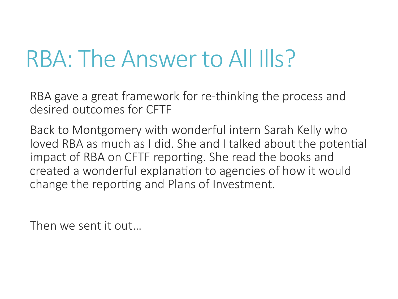#### RBA: The Answer to All Ills?

RBA gave a great framework for re-thinking the process and desired outcomes for CFTF

Back to Montgomery with wonderful intern Sarah Kelly who loved RBA as much as I did. She and I talked about the potential impact of RBA on CFTF reporting. She read the books and created a wonderful explanation to agencies of how it would change the reporting and Plans of Investment.

Then we sent it out…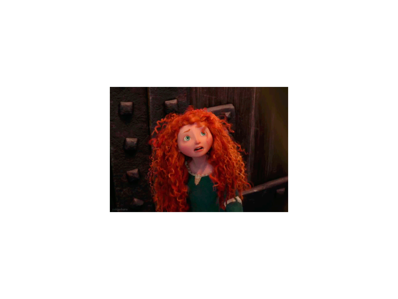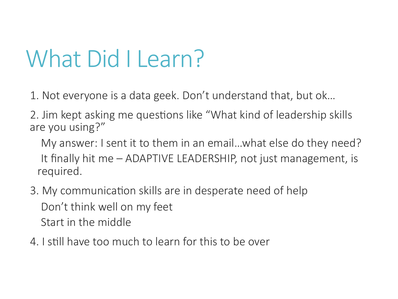## What Did I Learn?

- 1. Not everyone is a data geek. Don't understand that, but ok…
- 2. Jim kept asking me questions like "What kind of leadership skills are you using?"
	- My answer: I sent it to them in an email…what else do they need? It finally hit me – ADAPTIVE LEADERSHIP, not just management, is required.
- 3. My communication skills are in desperate need of help Don't think well on my feet Start in the middle
- 4. I still have too much to learn for this to be over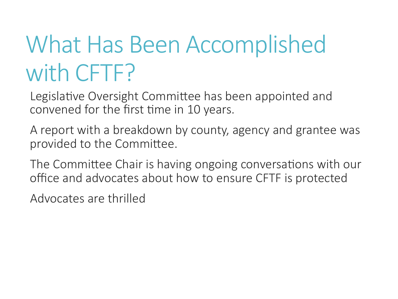## What Has Been Accomplished with CFTF?

Legislative Oversight Committee has been appointed and convened for the first time in 10 years.

A report with a breakdown by county, agency and grantee was provided to the Committee.

The Committee Chair is having ongoing conversations with our office and advocates about how to ensure CFTF is protected

Advocates are thrilled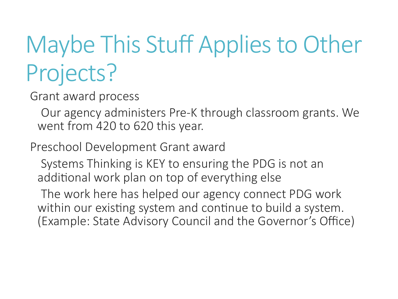## Maybe This Stuff Applies to Other Projects?

Grant award process

Our agency administers Pre-K through classroom grants. We went from 420 to 620 this year.

Preschool Development Grant award

Systems Thinking is KEY to ensuring the PDG is not an additional work plan on top of everything else

The work here has helped our agency connect PDG work within our existing system and continue to build a system. (Example: State Advisory Council and the Governor's Office)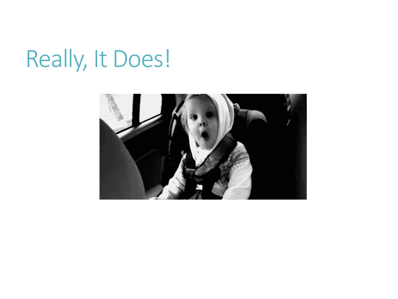## Really, It Does!

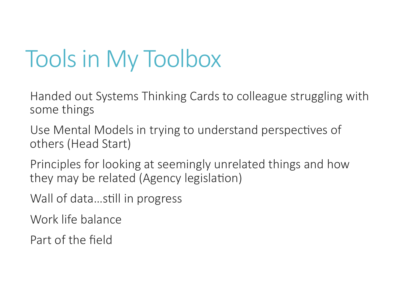## Tools in My Toolbox

Handed out Systems Thinking Cards to colleague struggling with some things

Use Mental Models in trying to understand perspectives of others (Head Start)

Principles for looking at seemingly unrelated things and how they may be related (Agency legislation)

Wall of data...still in progress

Work life balance

Part of the field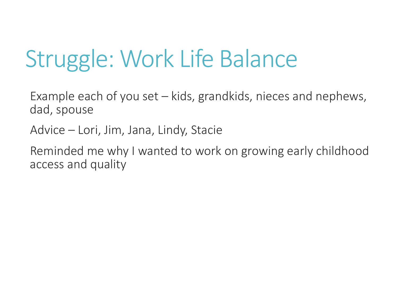# Struggle: Work Life Balance

Example each of you set – kids, grandkids, nieces and nephews, dad, spouse

Advice – Lori, Jim, Jana, Lindy, Stacie

Reminded me why I wanted to work on growing early childhood access and quality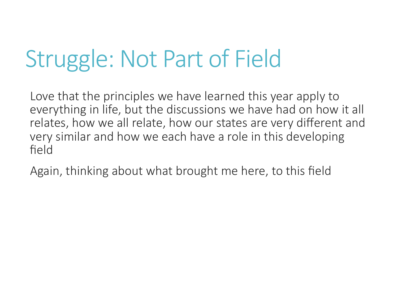# Struggle: Not Part of Field

Love that the principles we have learned this year apply to everything in life, but the discussions we have had on how it all relates, how we all relate, how our states are very different and very similar and how we each have a role in this developing field

Again, thinking about what brought me here, to this field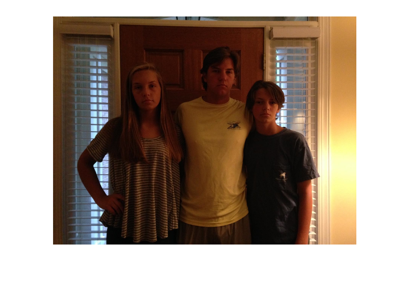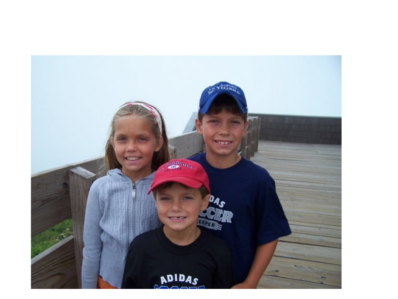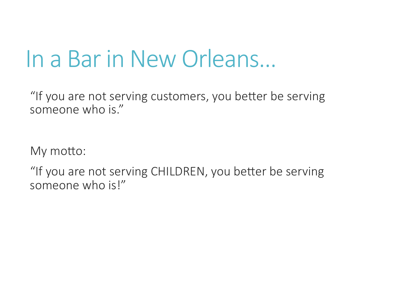#### In a Bar in New Orleans…

"If you are not serving customers, you better be serving someone who is."

My motto:

"If you are not serving CHILDREN, you better be serving someone who is!"